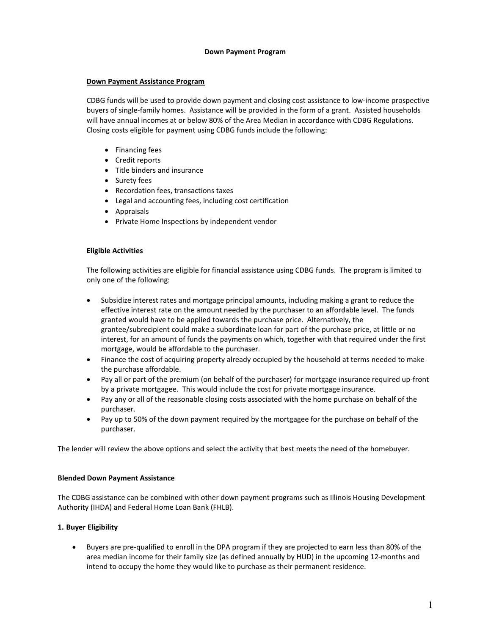#### **Down Payment Program**

# **Down Payment Assistance Program**

CDBG funds will be used to provide down payment and closing cost assistance to low-income prospective buyers of single-family homes. Assistance will be provided in the form of a grant. Assisted households will have annual incomes at or below 80% of the Area Median in accordance with CDBG Regulations. Closing costs eligible for payment using CDBG funds include the following:

- Financing fees
- Credit reports
- Title binders and insurance
- Surety fees
- Recordation fees, transactions taxes
- Legal and accounting fees, including cost certification
- Appraisals
- Private Home Inspections by independent vendor

### **Eligible Activities**

The following activities are eligible for financial assistance using CDBG funds. The program is limited to only one of the following:

- Subsidize interest rates and mortgage principal amounts, including making a grant to reduce the effective interest rate on the amount needed by the purchaser to an affordable level. The funds granted would have to be applied towards the purchase price. Alternatively, the grantee/subrecipient could make a subordinate loan for part of the purchase price, at little or no interest, for an amount of funds the payments on which, together with that required under the first mortgage, would be affordable to the purchaser.
- Finance the cost of acquiring property already occupied by the household at terms needed to make the purchase affordable.
- Pay all or part of the premium (on behalf of the purchaser) for mortgage insurance required up-front by a private mortgagee. This would include the cost for private mortgage insurance.
- Pay any or all of the reasonable closing costs associated with the home purchase on behalf of the purchaser.
- Pay up to 50% of the down payment required by the mortgagee for the purchase on behalf of the purchaser.

The lender will review the above options and select the activity that best meets the need of the homebuyer.

#### **Blended Down Payment Assistance**

The CDBG assistance can be combined with other down payment programs such as Illinois Housing Development Authority (IHDA) and Federal Home Loan Bank (FHLB).

# **1. Buyer Eligibility**

• Buyers are pre-qualified to enroll in the DPA program if they are projected to earn less than 80% of the area median income for their family size (as defined annually by HUD) in the upcoming 12-months and intend to occupy the home they would like to purchase as their permanent residence.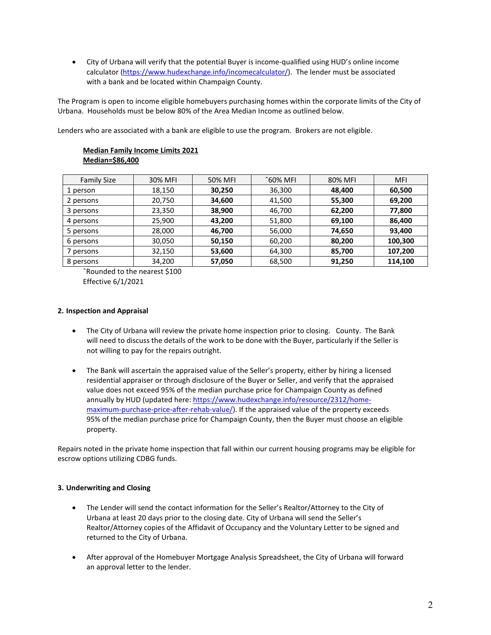• City of Urbana will verify that the potential Buyer is income-qualified using HUD's online income calculator [\(https://www.hudexchange.info/incomecalculator/\)](https://www.hudexchange.info/incomecalculator/). The lender must be associated with a bank and be located within Champaign County.

The Program is open to income eligible homebuyers purchasing homes within the corporate limits of the City of Urbana. Households must be below 80% of the Area Median Income as outlined below.

Lenders who are associated with a bank are eligible to use the program. Brokers are not eligible.

# **Median Family Income Limits 2021 Median=\$86,400**

| <b>Family Size</b> | 30% MFI | 50% MFI | ^60% MFI | 80% MFI | <b>MFI</b> |
|--------------------|---------|---------|----------|---------|------------|
| 1 person           | 18,150  | 30,250  | 36,300   | 48,400  | 60,500     |
| 2 persons          | 20,750  | 34,600  | 41,500   | 55,300  | 69,200     |
| 3 persons          | 23,350  | 38,900  | 46,700   | 62,200  | 77,800     |
| 4 persons          | 25,900  | 43,200  | 51,800   | 69,100  | 86,400     |
| 5 persons          | 28,000  | 46,700  | 56,000   | 74,650  | 93,400     |
| 6 persons          | 30,050  | 50,150  | 60,200   | 80,200  | 100,300    |
| 7 persons          | 32,150  | 53,600  | 64,300   | 85,700  | 107,200    |
| 8 persons          | 34,200  | 57,050  | 68,500   | 91,250  | 114,100    |

ˆRounded to the nearest \$100 Effective 6/1/2021

### **2. Inspection and Appraisal**

- The City of Urbana will review the private home inspection prior to closing. County. The Bank will need to discuss the details of the work to be done with the Buyer, particularly if the Seller is not willing to pay for the repairs outright.
- The Bank will ascertain the appraised value of the Seller's property, either by hiring a licensed residential appraiser or through disclosure of the Buyer or Seller, and verify that the appraised value does not exceed 95% of the median purchase price for Champaign County as defined annually by HUD (updated here: [https://www.hudexchange.info/resource/2312/home](https://www.hudexchange.info/resource/2312/home-maximum-purchase-price-after-rehab-value/)[maximum-purchase-price-after-rehab-value/\)](https://www.hudexchange.info/resource/2312/home-maximum-purchase-price-after-rehab-value/). If the appraised value of the property exceeds 95% of the median purchase price for Champaign County, then the Buyer must choose an eligible property.

Repairs noted in the private home inspection that fall within our current housing programs may be eligible for escrow options utilizing CDBG funds.

# **3. Underwriting and Closing**

- The Lender will send the contact information for the Seller's Realtor/Attorney to the City of Urbana at least 20 days prior to the closing date. City of Urbana will send the Seller's Realtor/Attorney copies of the Affidavit of Occupancy and the Voluntary Letter to be signed and returned to the City of Urbana.
- After approval of the Homebuyer Mortgage Analysis Spreadsheet, the City of Urbana will forward an approval letter to the lender.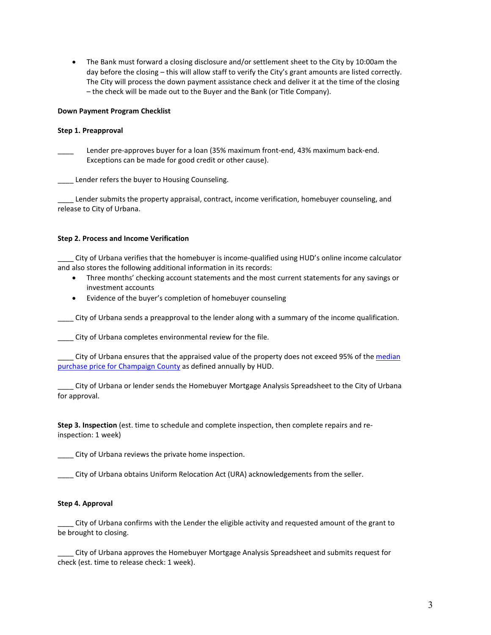• The Bank must forward a closing disclosure and/or settlement sheet to the City by 10:00am the day before the closing – this will allow staff to verify the City's grant amounts are listed correctly. The City will process the down payment assistance check and deliver it at the time of the closing – the check will be made out to the Buyer and the Bank (or Title Company).

#### **Down Payment Program Checklist**

#### **Step 1. Preapproval**

Lender pre-approves buyer for a loan (35% maximum front-end, 43% maximum back-end. Exceptions can be made for good credit or other cause).

**\_\_\_\_** Lender refers the buyer to Housing Counseling.

Lender submits the property appraisal, contract, income verification, homebuyer counseling, and release to City of Urbana.

#### **Step 2. Process and Income Verification**

\_\_\_\_ City of Urbana verifies that the homebuyer is income-qualified using HUD's online income calculator and also stores the following additional information in its records:

- Three months' checking account statements and the most current statements for any savings or investment accounts
- Evidence of the buyer's completion of homebuyer counseling

City of Urbana sends a preapproval to the lender along with a summary of the income qualification.

\_\_\_\_ City of Urbana completes environmental review for the file.

City of Urbana ensures that the appraised value of the property does not exceed 95% of the median [purchase price for Champaign County](https://www.hudexchange.info/resource/2312/home-maximum-purchase-price-after-rehab-value/) as defined annually by HUD.

\_\_\_\_ City of Urbana or lender sends the Homebuyer Mortgage Analysis Spreadsheet to the City of Urbana for approval.

**Step 3. Inspection** (est. time to schedule and complete inspection, then complete repairs and reinspection: 1 week)

\_\_\_\_ City of Urbana reviews the private home inspection.

\_\_\_\_ City of Urbana obtains Uniform Relocation Act (URA) acknowledgements from the seller.

# **Step 4. Approval**

\_\_\_\_ City of Urbana confirms with the Lender the eligible activity and requested amount of the grant to be brought to closing.

\_\_\_\_ City of Urbana approves the Homebuyer Mortgage Analysis Spreadsheet and submits request for check (est. time to release check: 1 week).